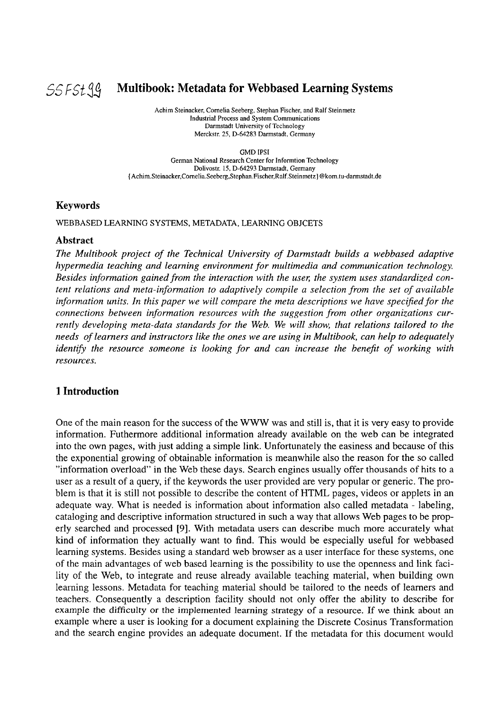

## 55Fstgj **M ultibook: Metadata for Webbased Learning Systems**

Achim Steinacker, Cornelia Seeberg, Stephan Fischer, and Ralf Steinmetz Industrial Process and System Communications Darmstadt University of Technology Merckstr. 25, D-64283 Darmstadt, Germany

GMD **IPSI** 

German National Research Center for Inforrntion Technology Dolivostr. 15, D-64293 Darmstadt, Germany **(Achim.Steinacker,Cornelia.Seeberg,Stephan.Fischer,Ralf.Steinmeiz** J @kom.tu-darmstadt.de

#### **Keywords**

WEBBASED LEARNING SYSTEMS, METADATA, LEARNING OBJCETS

#### **Abstract**

*The Multibook project of the Technical University of Darmstadt builds a webbased adaptive hyperinedia teaching und learning environment for multimedia nnd communication technology. Besides information gained from the interaction with the user; the System uses standnrdized content relations und meta-information to adaptively compile a selection from the set of available information units. In this paper we will compare the meta descriptions we have specified for the connections between information resources with the suggestion from other organizations currently developing meta-data standards for the Web. We will show, that relations tailored to the needs of leamers und instructors like the ones we are using in Multibook, can help to adequately identify the resource someone is looking for and can increase the benefit of working with resources.* 

#### **1 Introduction**

One of the main reason for the success of the WWW was and still is, that it is very easy to provide information. Futhermore additional information already available on the web can be integrated into the own pages, with just adding a simple link. Unfortunately the easiness and because of this the exponential growing of obtainable information is meanwhile also the reason for the so called "information overload" in the Web these days. Search engines usually offer thousands of hits to a user as a result of a query, if the keywords the user provided are very popular or generic. The problem is that it is still not possible to describe the content of HTML pages, videos or applets in an adequate way. What is needed is information about information also called metadata - labeling, cataloging and descriptive information structured in such a way that allows Web pages to be properly searched and processed [9]. With metadata Users can describe much more accurately what kind of information they actually Want to find. This would be especially useful for webbased learning systems. Besides using a standard web browser as a user interface for these systems, one of the main advantages of web based learning is the possibility to use the openness and link facility of the Web, to integrate and reuse already available teaching material, when building own learning lessons. Metadata for teaching material should be tailored to the needs of learners and teachers. Consequently a description facility should not only offer the ability to describe for example the difficulty or the implemented learning strategy of **a** resource. If we think about an example where a user is looking for a document explaining the Discrete Cosinus Transformation and the search engine provides an adequate document. If the metadata for this document would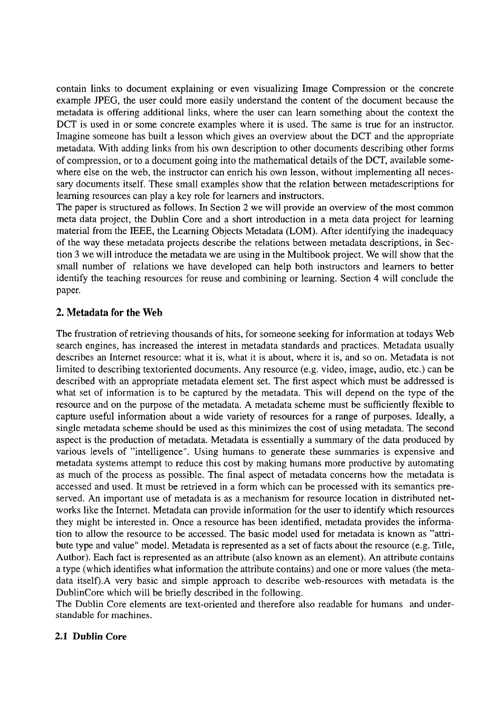contain links to document explaining or even visualizing Image Compression or the concrete example JPEG, the user could more easily understand the content of the document because the metadata is offering additional links, where the User can learn something about the context the DCT is used in or some concrete examples where it is used. The same is true for an instructor. Imagine someone has built a lesson which gives an overview about the DCT and the appropriate metadata. With adding links from his own description to other documents describing other forms of compression, or to a document going into the mathematical details of the DCT, available somewhere else on the web, the instructor can enrich his own lesson, without implementing all necessary documents itself. These small examples show that the relation between metadescriptions for learning resources can play a key role for learners and instructors.

The paper is structured as follows. In Section 2 we will provide an overview of the most common meta data project, the Dublin Core and a short introduction in a meta data project for learning material from the IEEE, the Learning Objects Metadata (LOM). After identifying the inadequacy of the way these metadata projects describe the relations between metadata descriptions, in Section 3 we will introduce the metadata we are using in the Multibook project. We will show that the small number of relations we have developed can help both instructors and learners to better identify the teaching resources for reuse and combining or learning. Section 4 will conclude the paper.

#### **2. Metadata for the Web**

The frustration of retrieving thousands of hits, for someone seeking for information at todays Web search engines, has increased the interest in metadata standards and practices. Metadata usually describes an Internet resource: what it is, what it is about, where it is, and so on. Metadata is not limited to describing textoriented documents. Any resource (e.g. video, image, audio, etc.) can be described with an appropriate metadata element set. The first aspect which must be addressed is what set of information is to be captured by the metadata. This will depend on the type of the resource and on the purpose of the metadata. A metadata scheme must be sufficiently flexible to capture useful information about a wide variety of resources for a range of purposes. Ideally, a single metadata scheme should be used as this minimizes the cost of using metadata. The second aspect is the production of metadata. Metadata is essentially a Summary of the data produced by various levels of "intelligence". Using humans to generate these summaries is expensive and metadata Systems attempt to reduce this cost by making humans more productive by automating as much of the process as possible. The final aspect of metadata concerns how the metadata is accessed and used. It must be retrieved in a form which can be processed with its semantics preserved. An important use of metadata is as a mechanism for resource location in distributed networks like the Internet. Metadata can provide information for the user to identify which resources they might be interested in. Once a resource has been identified, metadata provides the information to allow the resource to be accessed. The basic model used for metadata is known as "attribute type and value" model. Metadata is represented as a Set of facts about the resource (e.g. Title, Author). Each fact is represented as an attribute (also known as an element). An attribute contains a type (which identifies what information the attribute contains) and one or more values (the metadata itself).A very basic and simple approach to describe web-resources with metadata is the DublinCore which will be briefly described in the following.

The Dublin Core elements are text-oriented and therefore also readable for humans and understandable for machines.

#### **2.1 Dublin Core**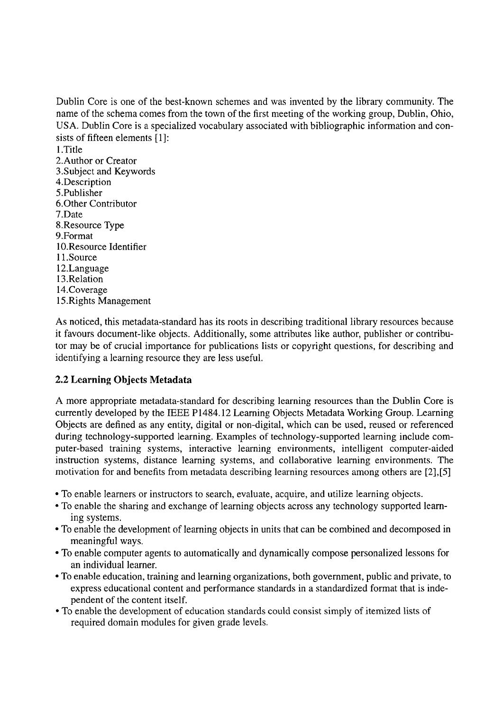Dublin Core is one of the best-known schemes and was invented by the library community. The name of the schema comes from the town of the first meeting of the working group, Dublin, Ohio, USA. Dublin Core is a specialized vocabulary associated with bibliographic information and consists of fifteen elements [I]: 1 .Title

2.Author or Creator 3.Subject and Keywords 4.Description 5.Publisher 6.Other Contributor 7.Date 8.Resource Type 9.Format 10.Resource Identifier 11.Source 12.Language 13.Relation 14.Coverage 15.Rights Management

As noticed, this metadata-standard has its roots in describing traditional library resources because it favours document-like objects. Additionally, some attributes like author, publisher or contributor may be of crucial importance for publications lists or copyright questions, for describing and identifying a learning resource they are less useful.

## **2.2 Learning Objects Metadata**

A more appropriate metadata-standard for describing learning resources than the Dublin Core is currently developed by the IEEE P1484.12 Learning Objects Metadata Working Group. Learning Objects are defined as any entity, digital or non-digital, which can be used, reused or referenced during technology-supported learning. Examples of technology-supported learning include computer-based training systems, interactive learning environments, intelligent computer-aided instruction systems, distance learning systems, and collaborative learning environments. The motivation for and benefits from metadata describing learning resources among others are *[2],[5]* 

- To enable learners or instructors to search, evaluate, acquire, and utilize learning objects.
- To enable the sharing and exchange of learning objects across any technology supported learning systems.
- To enable the development of learning objects in units that can be combined and decomposed in meaningful ways.
- To enable Computer agents to automatically and dynamically compose personalized lessons for an individual learner.
- To enable education, training and learning organizations, both government, public and private, to express educational content and performance standards in a standardized format that is independent of the content itself.
- To enable the development of education standards could consist simply of iternized lists of required domain modules for given grade levels.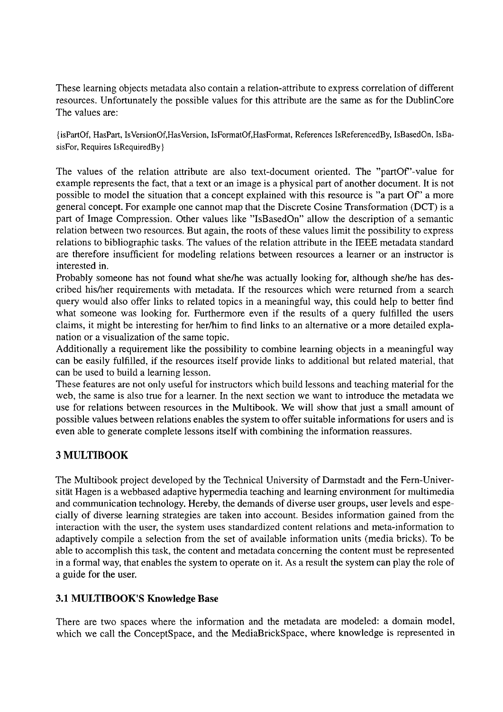These learning objects metadata also contain a relation-attribute to express correlation of different resources. Unfortunately the possible values for this attribute are the Same as for the DublinCore The values are:

{isPartOf, HasPart, IsVersionOf,HasVersion, IsFormatOf,HasFormat, References IsReferencedBy, IsBasedOn, IsBasisFor, Requires IsRequiredBy }

The values of the relation attribute are also text-document oriented. The "part0f"-value for example represents the fact, that a text or an image is a physical part of another document. It is not possible to model the situation that a concept explained with this resource is "a part Of" a more general concept. For example one cannot map that the Discrete Cosine Transformation (DCT) is a part of Image Compression. Other values like "IsBasedOn" allow the description of a semantic relation between two resources. But again, the roots of these values lirnit the possibility to express relations to bibliographic tasks. The values of the relation attribute in the IEEE metadata standard are therefore insufficient for modeling relations between resources a learner or an instructor is interested in.

Probably someone has not found what she/he was actually looking for, although she/he has described hislher requirements with metadata. If the resources which were returned from a search query would also offer links to related topics in a meaningful way, this could help to better find what someone was looking for. Furthermore even if the results of a query fulfilled the users claims, it might be interesting for her/him to find links to an alternative or a more detailed explanation or a visualization of the Same topic.

Additionally a requirement like the possibility to combine learning objects in a meaningful way can be easily fulfilled, if the resources itself provide links to additional but related material, that can be used to build a learning lesson.

These features are not only useful for instructors which build lessons and teaching material for the web, the same is also true for a learner. In the next section we want to introduce the metadata we use for relations between resources in the Multibook. We will show that just a small amount of possible values between relations enables the system to offer suitable informations for users and is even able to generate complete lessons itself with combining the information reassures.

## **3 MULTIBOOK**

The Multibook project developed by the Technical University of Darmstadt and the Fern-Universität Hagen is a webbased adaptive hypermedia teaching and learning environment for multimedia and communication technology. Hereby, the demands of diverse user groups, user levels and especially of diverse learning strategies are taken into account. Besides information gained from the interaction with the user, the system uses standardized content relations and meta-information to adaptively compile a selection from the Set of available information units (media bricks). To be able to accomplish this task, the content and metadata concerning the content must be represented in a formal way, that enables the system to operate on it. As a result the system can play the role of a guide for the user.

#### **3.1 MULTIBOOK'S Knowledge Base**

There are two spaces where the information and the metadata are modeled: a domain model, which we call the ConceptSpace, and the MediaBrickSpace, where knowledge is represented in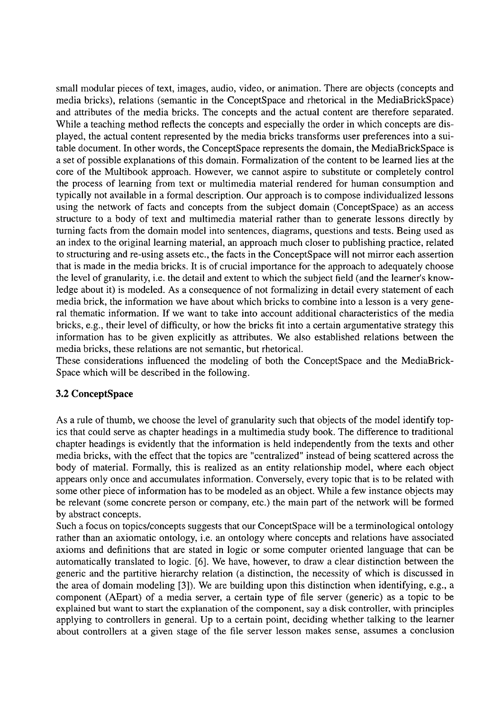small modular pieces of text, images, audio, video, or animation. There are objects (concepts and media bricks), relations (semantic in the ConceptSpace and rhetorical in the MediaBrickSpace) and attributes of the media bricks. The concepts and the actual content are therefore separated. While a teaching method reflects the concepts and especially the order in which concepts are displayed, the actual content represented by the media bricks transforms user preferences into a suitable document. In other words, the ConceptSpace represents the domain, the MediaBrickSpace is a Set of possible explanations of this domain. Formalization of the content to be learned lies at the core of the Multibook approach. However, we cannot aspire to substitute or completely control the process of learning from text or multimedia material rendered for human consumption and typically not available in a formal description. Our approach is to compose individualized lessons using the network of facts and concepts from the subject domain (ConceptSpace) as an access structure to a body of text and multimedia material rather than to generate lessons directly by turning facts from the domain model into sentences, diagrams, questions and tests. Being used as an index to the original learning material, an approach much closer to publishing practice, related to structuring and re-using assets etc., the facts in the ConceptSpace will not mirror each assertion that is made in the media bricks. It is of crucial importance for the approach to adequately choose the level of granularity, i.e. the detail and extent to which the subject field (and the learner's knowledge about it) is modeled. As a consequence of not formalizing in detail every statement of each media brick, the information we have about which bricks to combine into a lesson is a very general thematic information. If we want to take into account additional characteristics of the media bricks, e.g., their level of difficulty, or how the bricks fit into a certain argumentative strategy this information has to be given explicitly as attributes. We also established relations between the media bricks, these relations are not semantic, but rhetorical.

These considerations influenced the modeling of both the ConceptSpace and the MediaBrick-Space which will be described in the following.

#### **3.2 ConceptSpace**

As a rule of thumb, we choose the level of granularity such that objects of the model identify topics that could serve as chapter headings in a multimedia study book. The difference to traditional chapter headings is evidently that the information is held independently from the texts and other media bricks, with the effect that the topics are "centralized" instead of being scattered across the body of material. Formally, this is realized as an entity relationship model, where each object appears only once and accumulates information. Conversely, every topic that is to be related with some other piece of information has to be modeled as an object. While a few instance objects may be relevant (some concrete person or company, etc.) the main part of the network will be formed by abstract concepts.

Such a focus on topics/concepts suggests that our ConceptSpace will be a terrninological ontology rather than an axiomatic ontology, i.e. an ontology where concepts and relations have associated axioms and definitions that are stated in logic or some Computer oriented language that can be automatically translated to logic. **[6].** We have, however, to draw a clear distinction between the generic and the partitive hierarchy relation (a distinction, the necessity of which is discussed in the area of domain modeling [3]). We are building upon this distinction when identifying, e.g., a component (AEpart) of a media server, a certain type of file server (generic) as a topic to be explained but Want to start the explanation of the component, say a disk controller, with principles applying to controllers in general. Up to a certain point, deciding whether talking to the learner about controllers at a given stage of the file server lesson makes sense, assumes a conclusion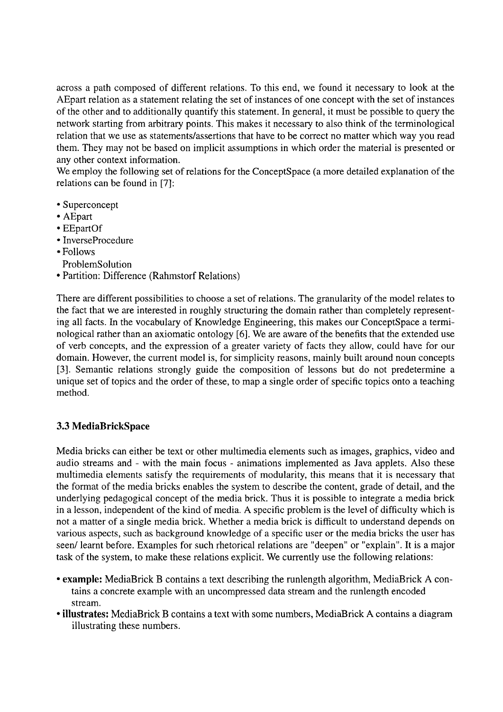across a path composed of different relations. To this end, we found it necessary to look at the AEpart relation as a statement relating the set of instances of one concept with the set of instances of the other and to additionally quantify this statement. In general, it must be possible to query the network starting from arbitrary points. This makes it necessary to also think of the terminological relation that we use as statements/assertions that have to be correct no matter which way you read them. They may not be based on implicit assumptions in which order the material is presented or any other context information.

We employ the following set of relations for the ConceptSpace (a more detailed explanation of the relations can be found in [7]:

- Superconcept
- AEpart
- EEpartOf
- InverseProcedure
- Follows
- ProblemSolution
- Partition: Difference (Rahmstorf Relations)

There are different possibilities to choose a set of relations. The granularity of the model relates to the fact that we are interested in roughly structuring the domain rather than completely representing all facts. In the vocabulary of Knowledge Engineering, this makes our ConceptSpace a terminological rather than an axiomatic ontology [6]. We are aware of the benefits that the extended use of verb concepts, and the expression of a greater variety of facts they allow, could have for our domain. However, the current model is, for simplicity reasons, mainly built around noun concepts 131. Semantic relations strongly guide the composition of lessons but do not predetermine a unique Set of topics and the order of these, to map a single order of specific topics onto a teaching method.

## **3.3 MediaBrickSpace**

Media bricks can either be text or other multimedia elements such as images, graphics, video and audio streams and - with the main focus - animations implemented as Java applets. Also these multimedia elements satisfy the requirements of modularity, this means that it is necessary that the format of the media bricks enables the system to describe the content, grade of detail, and the underlying pedagogical concept of the media brick. Thus it is possible to integrate a media brick in a lesson, independent of the kind of media. A specific problem is the level of difficulty which is not a matter of a single media brick. Whether a media brick is difficult to understand depends on various aspects, such as background knowledge of a specific user or the media bricks the user has seen/ learnt before. Examples for such rhetorical relations are "deepen" or "explain". It is a major task of the system, to make these relations explicit. We currently use the following relations:

- **example:** MediaBrick B contains a text describing the runlength algorithm, MediaBrick A contains a concrete example with an uncompressed data stream and the runlength encoded stream.
- **illustrates:** MediaBrick B contains a text with some numbers, MediaBrick **A** contains a diagram illustrating these numbers.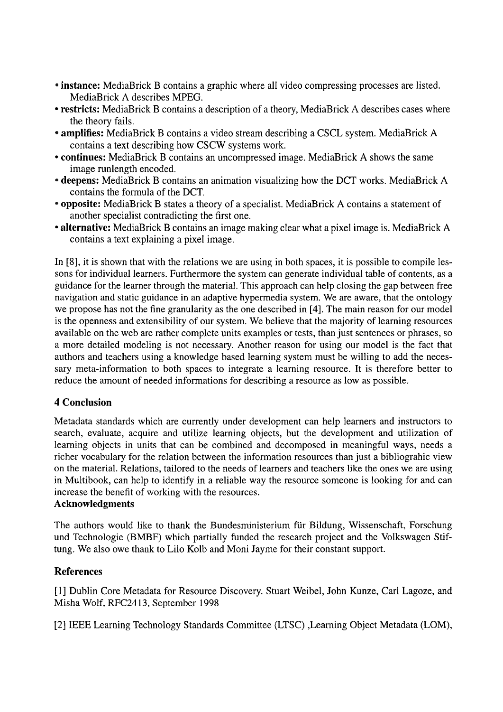- **instance:** MediaBrick B contains a graphic where all video compressing processes are listed. MediaBrick A describes MPEG.
- **restricts:** MediaBrick B contains a description of a theory, MediaBrick A describes cases where the theory fails.
- **amplifies:** MediaBrick B contains a video strearn describing a CSCL system. MediaBrick A contains a text describing how CSCW systems work.
- **continues:** MediaBrick B contains an uncompressed image. MediaBrick A shows the Same image runlength encoded.
- **deepens:** MediaBrick B contains an animation visualizing how the DCT works. MediaBrick A contains the formula of the DCT.
- **opposite:** MediaBrick B states a theory of a specialist. MediaBrick A contains a Statement of another specialist contradicting the first one.
- **alternative:** MediaBrick B contains an image making clear what a pixel image is. MediaBrick A contains a text explaining a pixel image.

In [8], it is shown that with the relations we are using in both spaces, it is possible to compile lessons for individual learners. Furthermore the system can generate individual table of contents, as a guidance for the learner through the material. This approach can help closing the gap between free navigation and static guidance in an adaptive hypermedia system. We are aware, that the ontology we propose has not the fine granularity as the one described in **[4].** The main reason for our model is the openness and extensibility of our system. We believe that the majority of learning resources available on the web are rather complete units examples or tests, than just sentences or phrases, so a more detailed modeling is not necessary. Another reason for using our model is the fact that authors and teachers using a knowledge based learning system must be willing to add the necessary meta-information to both spaces to integrate a learning resource. It is therefore better to reduce the amount of needed informations for describing a resource as low as possible.

## **4 Conclusion**

Metadata Standards which are currently under development can help learners and instructors to search, evaluate, acquire and utilize learning objects, but the development and utilization of learning objects in units that can be combined and decomposed in meaningful ways, needs a richer vocabulary for the relation between the information resources than just a bibliograhic view on the material. Relations, tailored to the needs of learners and teachers like the ones we are using in Multibook, can help to identify in a reliable way the resource someone is looking for and can increase the benefit of working with the resources.

#### **Acknowledgments**

The authors would like to thank the Bundesministerium für Bildung, Wissenschaft, Forschung und Technologie (BMBF) which partially funded the research project and the Volkswagen Stiftung. We also owe thank to Lilo Kolb and Moni Jayme for their constant support.

#### **References**

[l] Dublin Core Metadata for Resource Discovery. Stuart Weibel, John Kunze, Carl Lagoze, and Misha Wolf, RFC2413, September 1998

[2] IEEE Learning Technology Standards Committee (LTSC) ,Learning Object Metadata (LOM),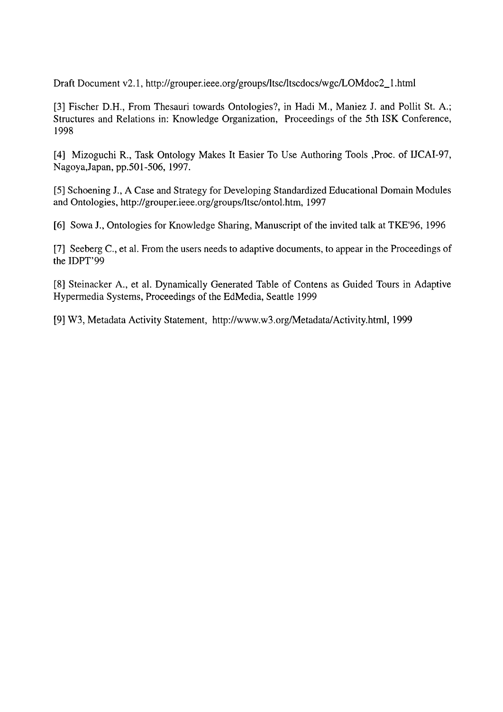Draft Document v2.1, http://grouper.ieee.org/groups/ltsc/ltscdocs/wgc/LOMdoc2\_1.html

*[3]* Fischer D.H., From Thesauri towards Ontologies?, in Hadi M., Maniez J. and Pollit St. A.; Structures and Relations in: Knowledge Organization, Proceedings of the 5th ISK Conference, 1998

[4] Mizoguchi R., Task Ontology Makes It Easier To Use Authoring Tools ,Proc. of IJCAI-97, Nagoya,Japan, pp.501-506, 1997.

*[5]* Schoening J., A Case and Strategy for Developing Standardized Educational Domain Modules and Ontologies, http://grouper.ieee.org/groups/ltsc/ontol.htm, 1997

[6] Sowa J., Ontologies for Knowledge Sharing, Manuscript of the invited talk at TKE'96, 1996

[7] Seeberg C., et al. From the Users needs to adaptive documents, to appear in the Proceedings of the IDPT'99

[8] Steinacker A., et al. Dynamically Generated Table of Contens as Guided Tours in Adaptive Hypermedia Systems, Proceedings of the EdMedia, Seattle 1999

[9] W3, Metadata Activity Statement, http://www.w3.org/Metadata/Activity.html, 1999